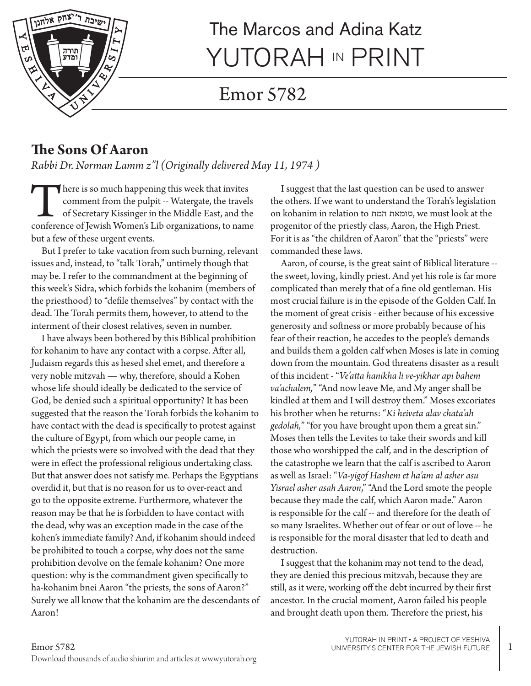

# The Marcos and Adina Katz YUTORAH IN PRINT

# Emor 5782

#### **The Sons Of Aaron**

*Rabbi Dr. Norman Lamm z"l (Originally delivered May 11, 1974 )*

There is so much happening this week that invites<br>
comment from the pulpit -- Watergate, the travels<br>
of Secretary Kissinger in the Middle East, and the<br>
conference of Jewish Women's Lib organizations, to name comment from the pulpit -- Watergate, the travels of Secretary Kissinger in the Middle East, and the but a few of these urgent events.

But I prefer to take vacation from such burning, relevant issues and, instead, to "talk Torah," untimely though that may be. I refer to the commandment at the beginning of this week's Sidra, which forbids the kohanim (members of the priesthood) to "defile themselves" by contact with the dead. The Torah permits them, however, to attend to the interment of their closest relatives, seven in number.

I have always been bothered by this Biblical prohibition for kohanim to have any contact with a corpse. After all, Judaism regards this as hesed shel emet, and therefore a very noble mitzvah — why, therefore, should a Kohen whose life should ideally be dedicated to the service of God, be denied such a spiritual opportunity? It has been suggested that the reason the Torah forbids the kohanim to have contact with the dead is specifically to protest against the culture of Egypt, from which our people came, in which the priests were so involved with the dead that they were in effect the professional religious undertaking class. But that answer does not satisfy me. Perhaps the Egyptians overdid it, but that is no reason for us to over-react and go to the opposite extreme. Furthermore, whatever the reason may be that he is forbidden to have contact with the dead, why was an exception made in the case of the kohen's immediate family? And, if kohanim should indeed be prohibited to touch a corpse, why does not the same prohibition devolve on the female kohanim? One more question: why is the commandment given specifically to ha-kohanim bnei Aaron "the priests, the sons of Aaron?" Surely we all know that the kohanim are the descendants of Aaron!

I suggest that the last question can be used to answer the others. If we want to understand the Torah's legislation on kohanim in relation to המת טומאת, we must look at the progenitor of the priestly class, Aaron, the High Priest. For it is as "the children of Aaron" that the "priests" were commanded these laws.

Aaron, of course, is the great saint of Biblical literature - the sweet, loving, kindly priest. And yet his role is far more complicated than merely that of a fine old gentleman. His most crucial failure is in the episode of the Golden Calf. In the moment of great crisis - either because of his excessive generosity and softness or more probably because of his fear of their reaction, he accedes to the people's demands and builds them a golden calf when Moses is late in coming down from the mountain. God threatens disaster as a result of this incident - "*Ve'atta hanikha li ve-yikhar api bahem va'achalem,*" "And now leave Me, and My anger shall be kindled at them and I will destroy them." Moses excoriates his brother when he returns: "*Ki heiveta alav chata'ah gedolah,*" "for you have brought upon them a great sin." Moses then tells the Levites to take their swords and kill those who worshipped the calf, and in the description of the catastrophe we learn that the calf is ascribed to Aaron as well as Israel: "*Va-yigof Hashem et ha'am al asher asu Yisrael asher asah Aaron*," "And the Lord smote the people because they made the calf, which Aaron made." Aaron is responsible for the calf -- and therefore for the death of so many Israelites. Whether out of fear or out of love -- he is responsible for the moral disaster that led to death and destruction.

I suggest that the kohanim may not tend to the dead, they are denied this precious mitzvah, because they are still, as it were, working off the debt incurred by their first ancestor. In the crucial moment, Aaron failed his people and brought death upon them. Therefore the priest, his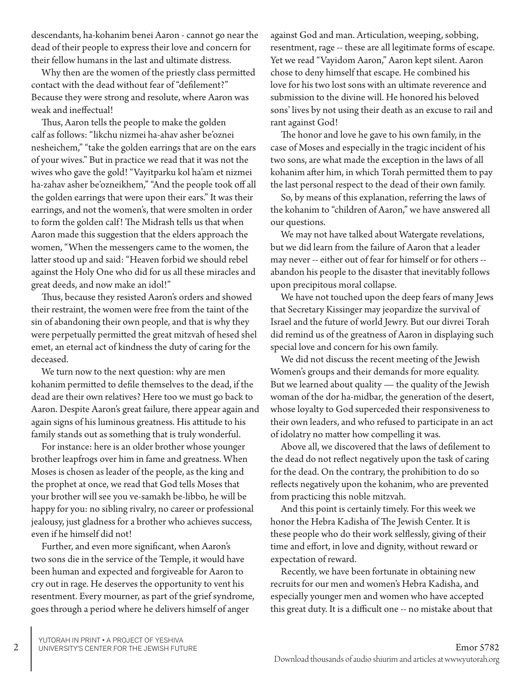descendants, ha-kohanim benei Aaron - cannot go near the dead of their people to express their love and concern for their fellow humans in the last and ultimate distress.

Why then are the women of the priestly class permitted contact with the dead without fear of "defilement?" Because they were strong and resolute, where Aaron was weak and ineffectual!

Thus, Aaron tells the people to make the golden calf as follows: "likchu nizmei ha-ahav asher be'oznei nesheichem," "take the golden earrings that are on the ears of your wives." But in practice we read that it was not the wives who gave the gold! "Vayitparku kol ha'am et nizmei ha-zahav asher be'ozneikhem," "And the people took off all the golden earrings that were upon their ears." It was their earrings, and not the women's, that were smolten in order to form the golden calf! The Midrash tells us that when Aaron made this suggestion that the elders approach the women, "When the messengers came to the women, the latter stood up and said: "Heaven forbid we should rebel against the Holy One who did for us all these miracles and great deeds, and now make an idol!"

Thus, because they resisted Aaron's orders and showed their restraint, the women were free from the taint of the sin of abandoning their own people, and that is why they were perpetually permitted the great mitzvah of hesed shel emet, an eternal act of kindness the duty of caring for the deceased.

We turn now to the next question: why are men kohanim permitted to defile themselves to the dead, if the dead are their own relatives? Here too we must go back to Aaron. Despite Aaron's great failure, there appear again and again signs of his luminous greatness. His attitude to his family stands out as something that is truly wonderful.

For instance: here is an older brother whose younger brother leapfrogs over him in fame and greatness. When Moses is chosen as leader of the people, as the king and the prophet at once, we read that God tells Moses that your brother will see you ve-samakh be-libbo, he will be happy for you: no sibling rivalry, no career or professional jealousy, just gladness for a brother who achieves success, even if he himself did not!

Further, and even more significant, when Aaron's two sons die in the service of the Temple, it would have been human and expected and forgiveable for Aaron to cry out in rage. He deserves the opportunity to vent his resentment. Every mourner, as part of the grief syndrome, goes through a period where he delivers himself of anger

against God and man. Articulation, weeping, sobbing, resentment, rage -- these are all legitimate forms of escape. Yet we read "Vayidom Aaron," Aaron kept silent. Aaron chose to deny himself that escape. He combined his love for his two lost sons with an ultimate reverence and submission to the divine will. He honored his beloved sons' lives by not using their death as an excuse to rail and rant against God!

The honor and love he gave to his own family, in the case of Moses and especially in the tragic incident of his two sons, are what made the exception in the laws of all kohanim after him, in which Torah permitted them to pay the last personal respect to the dead of their own family.

So, by means of this explanation, referring the laws of the kohanim to "children of Aaron," we have answered all our questions.

We may not have talked about Watergate revelations, but we did learn from the failure of Aaron that a leader may never -- either out of fear for himself or for others - abandon his people to the disaster that inevitably follows upon precipitous moral collapse.

We have not touched upon the deep fears of many Jews that Secretary Kissinger may jeopardize the survival of Israel and the future of world Jewry. But our divrei Torah did remind us of the greatness of Aaron in displaying such special love and concern for his own family.

We did not discuss the recent meeting of the Jewish Women's groups and their demands for more equality. But we learned about quality — the quality of the Jewish woman of the dor ha-midbar, the generation of the desert, whose loyalty to God superceded their responsiveness to their own leaders, and who refused to participate in an act of idolatry no matter how compelling it was.

Above all, we discovered that the laws of defilement to the dead do not reflect negatively upon the task of caring for the dead. On the contrary, the prohibition to do so reflects negatively upon the kohanim, who are prevented from practicing this noble mitzvah.

And this point is certainly timely. For this week we honor the Hebra Kadisha of The Jewish Center. It is these people who do their work selflessly, giving of their time and effort, in love and dignity, without reward or expectation of reward.

Recently, we have been fortunate in obtaining new recruits for our men and women's Hebra Kadisha, and especially younger men and women who have accepted this great duty. It is a difficult one -- no mistake about that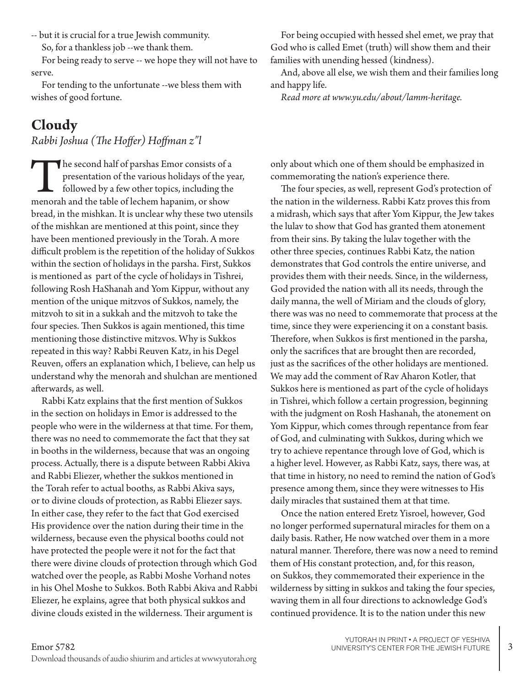-- but it is crucial for a true Jewish community. So, for a thankless job --we thank them.

For being ready to serve -- we hope they will not have to serve.

For tending to the unfortunate --we bless them with wishes of good fortune.

### **Cloudy**

*Rabbi Joshua (The Hoffer) Hoffman z"l*

The second half of parshas Emor consists of a presentation of the various holidays of the year, followed by a few other topics, including the menorah and the table of lechem hapanim, or show bread, in the mishkan. It is unclear why these two utensils of the mishkan are mentioned at this point, since they have been mentioned previously in the Torah. A more difficult problem is the repetition of the holiday of Sukkos within the section of holidays in the parsha. First, Sukkos is mentioned as part of the cycle of holidays in Tishrei, following Rosh HaShanah and Yom Kippur, without any mention of the unique mitzvos of Sukkos, namely, the mitzvoh to sit in a sukkah and the mitzvoh to take the four species. Then Sukkos is again mentioned, this time mentioning those distinctive mitzvos. Why is Sukkos repeated in this way? Rabbi Reuven Katz, in his Degel Reuven, offers an explanation which, I believe, can help us understand why the menorah and shulchan are mentioned afterwards, as well.

Rabbi Katz explains that the first mention of Sukkos in the section on holidays in Emor is addressed to the people who were in the wilderness at that time. For them, there was no need to commemorate the fact that they sat in booths in the wilderness, because that was an ongoing process. Actually, there is a dispute between Rabbi Akiva and Rabbi Eliezer, whether the sukkos mentioned in the Torah refer to actual booths, as Rabbi Akiva says, or to divine clouds of protection, as Rabbi Eliezer says. In either case, they refer to the fact that God exercised His providence over the nation during their time in the wilderness, because even the physical booths could not have protected the people were it not for the fact that there were divine clouds of protection through which God watched over the people, as Rabbi Moshe Vorhand notes in his Ohel Moshe to Sukkos. Both Rabbi Akiva and Rabbi Eliezer, he explains, agree that both physical sukkos and divine clouds existed in the wilderness. Their argument is

For being occupied with hessed shel emet, we pray that God who is called Emet (truth) will show them and their families with unending hessed (kindness).

And, above all else, we wish them and their families long and happy life.

*Read more at www.yu.edu/about/lamm-heritage.*

only about which one of them should be emphasized in commemorating the nation's experience there.

The four species, as well, represent God's protection of the nation in the wilderness. Rabbi Katz proves this from a midrash, which says that after Yom Kippur, the Jew takes the lulav to show that God has granted them atonement from their sins. By taking the lulav together with the other three species, continues Rabbi Katz, the nation demonstrates that God controls the entire universe, and provides them with their needs. Since, in the wilderness, God provided the nation with all its needs, through the daily manna, the well of Miriam and the clouds of glory, there was was no need to commemorate that process at the time, since they were experiencing it on a constant basis. Therefore, when Sukkos is first mentioned in the parsha, only the sacrifices that are brought then are recorded, just as the sacrifices of the other holidays are mentioned. We may add the comment of Rav Aharon Kotler, that Sukkos here is mentioned as part of the cycle of holidays in Tishrei, which follow a certain progression, beginning with the judgment on Rosh Hashanah, the atonement on Yom Kippur, which comes through repentance from fear of God, and culminating with Sukkos, during which we try to achieve repentance through love of God, which is a higher level. However, as Rabbi Katz, says, there was, at that time in history, no need to remind the nation of God's presence among them, since they were witnesses to His daily miracles that sustained them at that time.

Once the nation entered Eretz Yisroel, however, God no longer performed supernatural miracles for them on a daily basis. Rather, He now watched over them in a more natural manner. Therefore, there was now a need to remind them of His constant protection, and, for this reason, on Sukkos, they commemorated their experience in the wilderness by sitting in sukkos and taking the four species, waving them in all four directions to acknowledge God's continued providence. It is to the nation under this new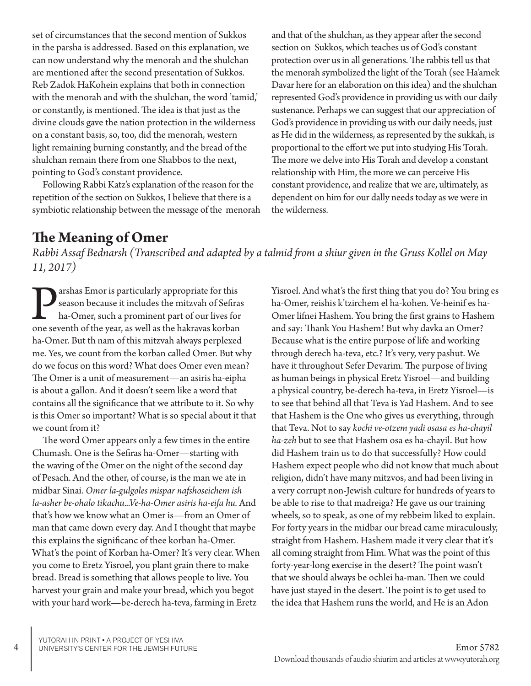set of circumstances that the second mention of Sukkos in the parsha is addressed. Based on this explanation, we can now understand why the menorah and the shulchan are mentioned after the second presentation of Sukkos. Reb Zadok HaKohein explains that both in connection with the menorah and with the shulchan, the word 'tamid,' or constantly, is mentioned. The idea is that just as the divine clouds gave the nation protection in the wilderness on a constant basis, so, too, did the menorah, western light remaining burning constantly, and the bread of the shulchan remain there from one Shabbos to the next, pointing to God's constant providence.

Following Rabbi Katz's explanation of the reason for the repetition of the section on Sukkos, I believe that there is a symbiotic relationship between the message of the menorah and that of the shulchan, as they appear after the second section on Sukkos, which teaches us of God's constant protection over us in all generations. The rabbis tell us that the menorah symbolized the light of the Torah (see Ha'amek Davar here for an elaboration on this idea) and the shulchan represented God's providence in providing us with our daily sustenance. Perhaps we can suggest that our appreciation of God's providence in providing us with our daily needs, just as He did in the wilderness, as represented by the sukkah, is proportional to the effort we put into studying His Torah. The more we delve into His Torah and develop a constant relationship with Him, the more we can perceive His constant providence, and realize that we are, ultimately, as dependent on him for our dally needs today as we were in the wilderness.

#### **The Meaning of Omer**

*Rabbi Assaf Bednarsh (Transcribed and adapted by a talmid from a shiur given in the Gruss Kollel on May 11, 2017)*

**Parshas Emor is particularly appropriate for this** season because it includes the mitzvah of Sefiras ha-Omer, such a prominent part of our lives for one seventh of the year, as well as the hakravas korban season because it includes the mitzvah of Sefiras ha-Omer, such a prominent part of our lives for ha-Omer. But th nam of this mitzvah always perplexed me. Yes, we count from the korban called Omer. But why do we focus on this word? What does Omer even mean? The Omer is a unit of measurement—an asiris ha-eipha is about a gallon. And it doesn't seem like a word that contains all the significance that we attribute to it. So why is this Omer so important? What is so special about it that we count from it?

The word Omer appears only a few times in the entire Chumash. One is the Sefiras ha-Omer—starting with the waving of the Omer on the night of the second day of Pesach. And the other, of course, is the man we ate in midbar Sinai. *Omer la-gulgoles mispar nafshoseichem ish la-asher be-ohalo tikachu...Ve-ha-Omer asiris ha-eifa hu.* And that's how we know what an Omer is—from an Omer of man that came down every day. And I thought that maybe this explains the significanc of thee korban ha-Omer. What's the point of Korban ha-Omer? It's very clear. When you come to Eretz Yisroel, you plant grain there to make bread. Bread is something that allows people to live. You harvest your grain and make your bread, which you begot with your hard work—be-derech ha-teva, farming in Eretz

Yisroel. And what's the first thing that you do? You bring es ha-Omer, reishis k'tzirchem el ha-kohen. Ve-heinif es ha-Omer lifnei Hashem. You bring the first grains to Hashem and say: Thank You Hashem! But why davka an Omer? Because what is the entire purpose of life and working through derech ha-teva, etc.? It's very, very pashut. We have it throughout Sefer Devarim. The purpose of living as human beings in physical Eretz Yisroel—and building a physical country, be-derech ha-teva, in Eretz Yisroel—is to see that behind all that Teva is Yad Hashem. And to see that Hashem is the One who gives us everything, through that Teva. Not to say *kochi ve-otzem yadi osasa es ha-chayil ha-zeh* but to see that Hashem osa es ha-chayil. But how did Hashem train us to do that successfully? How could Hashem expect people who did not know that much about religion, didn't have many mitzvos, and had been living in a very corrupt non-Jewish culture for hundreds of years to be able to rise to that madreiga? He gave us our training wheels, so to speak, as one of my rebbeim liked to explain. For forty years in the midbar our bread came miraculously, straight from Hashem. Hashem made it very clear that it's all coming straight from Him. What was the point of this forty-year-long exercise in the desert? The point wasn't that we should always be ochlei ha-man. Then we could have just stayed in the desert. The point is to get used to the idea that Hashem runs the world, and He is an Adon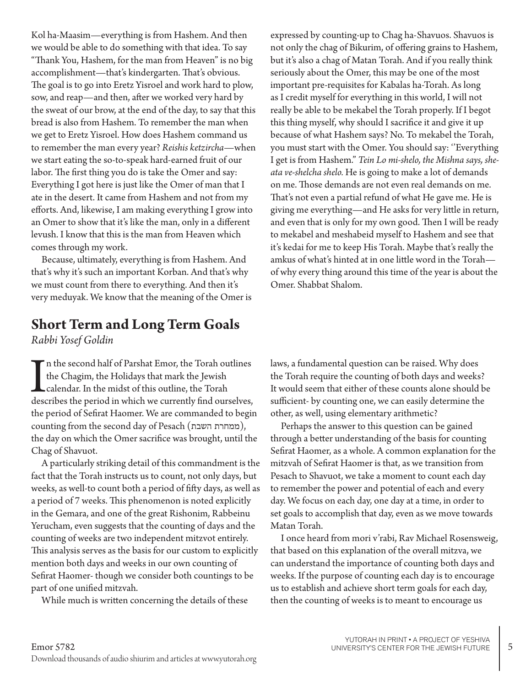Kol ha-Maasim—everything is from Hashem. And then we would be able to do something with that idea. To say "Thank You, Hashem, for the man from Heaven" is no big accomplishment—that's kindergarten. That's obvious. The goal is to go into Eretz Yisroel and work hard to plow, sow, and reap—and then, after we worked very hard by the sweat of our brow, at the end of the day, to say that this bread is also from Hashem. To remember the man when we get to Eretz Yisroel. How does Hashem command us to remember the man every year? *Reishis ketzircha*—when we start eating the so-to-speak hard-earned fruit of our labor. The first thing you do is take the Omer and say: Everything I got here is just like the Omer of man that I ate in the desert. It came from Hashem and not from my efforts. And, likewise, I am making everything I grow into an Omer to show that it's like the man, only in a different levush. I know that this is the man from Heaven which comes through my work.

Because, ultimately, everything is from Hashem. And that's why it's such an important Korban. And that's why we must count from there to everything. And then it's very meduyak. We know that the meaning of the Omer is

#### **Short Term and Long Term Goals**

*Rabbi Yosef Goldin*

In the second half of Parshat Emor, the Torah outlines<br>the Chagim, the Holidays that mark the Jewish<br>calendar. In the midst of this outline, the Torah<br>describes the period in which we currently find ourselves, n the second half of Parshat Emor, the Torah outlines the Chagim, the Holidays that mark the Jewish calendar. In the midst of this outline, the Torah the period of Sefirat Haomer. We are commanded to begin counting from the second day of Pesach (ממחרת השבת), the day on which the Omer sacrifice was brought, until the Chag of Shavuot.

A particularly striking detail of this commandment is the fact that the Torah instructs us to count, not only days, but weeks, as well-to count both a period of fifty days, as well as a period of 7 weeks. This phenomenon is noted explicitly in the Gemara, and one of the great Rishonim, Rabbeinu Yerucham, even suggests that the counting of days and the counting of weeks are two independent mitzvot entirely. This analysis serves as the basis for our custom to explicitly mention both days and weeks in our own counting of Sefirat Haomer- though we consider both countings to be part of one unified mitzvah.

While much is written concerning the details of these

expressed by counting-up to Chag ha-Shavuos. Shavuos is not only the chag of Bikurim, of offering grains to Hashem, but it's also a chag of Matan Torah. And if you really think seriously about the Omer, this may be one of the most important pre-requisites for Kabalas ha-Torah. As long as I credit myself for everything in this world, I will not really be able to be mekabel the Torah properly. If I begot this thing myself, why should I sacrifice it and give it up because of what Hashem says? No. To mekabel the Torah, you must start with the Omer. You should say: ''Everything I get is from Hashem." *Tein Lo mi-shelo, the Mishna says, sheata ve-shelcha shelo.* He is going to make a lot of demands on me. Those demands are not even real demands on me. That's not even a partial refund of what He gave me. He is giving me everything—and He asks for very little in return, and even that is only for my own good. Then I will be ready to mekabel and meshabeid myself to Hashem and see that it's kedai for me to keep His Torah. Maybe that's really the amkus of what's hinted at in one little word in the Torah of why every thing around this time of the year is about the Omer. Shabbat Shalom.

laws, a fundamental question can be raised. Why does the Torah require the counting of both days and weeks? It would seem that either of these counts alone should be sufficient- by counting one, we can easily determine the other, as well, using elementary arithmetic?

Perhaps the answer to this question can be gained through a better understanding of the basis for counting Sefirat Haomer, as a whole. A common explanation for the mitzvah of Sefirat Haomer is that, as we transition from Pesach to Shavuot, we take a moment to count each day to remember the power and potential of each and every day. We focus on each day, one day at a time, in order to set goals to accomplish that day, even as we move towards Matan Torah.

I once heard from mori v'rabi, Rav Michael Rosensweig, that based on this explanation of the overall mitzva, we can understand the importance of counting both days and weeks. If the purpose of counting each day is to encourage us to establish and achieve short term goals for each day, then the counting of weeks is to meant to encourage us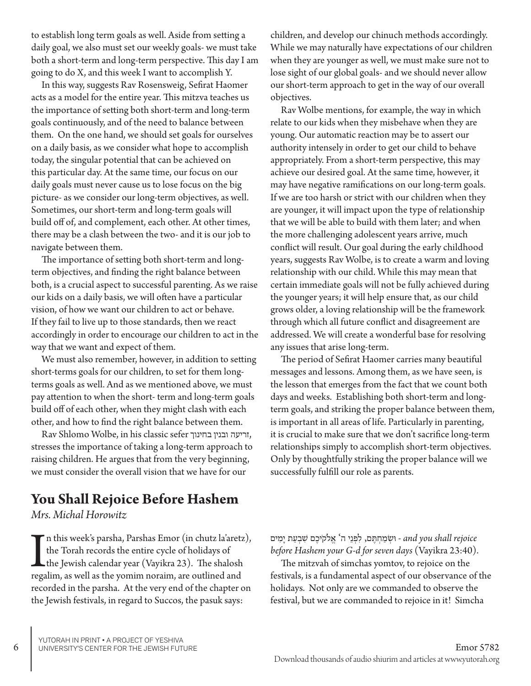to establish long term goals as well. Aside from setting a daily goal, we also must set our weekly goals- we must take both a short-term and long-term perspective. This day I am going to do X, and this week I want to accomplish Y.

In this way, suggests Rav Rosensweig, Sefirat Haomer acts as a model for the entire year. This mitzva teaches us the importance of setting both short-term and long-term goals continuously, and of the need to balance between them. On the one hand, we should set goals for ourselves on a daily basis, as we consider what hope to accomplish today, the singular potential that can be achieved on this particular day. At the same time, our focus on our daily goals must never cause us to lose focus on the big picture- as we consider our long-term objectives, as well. Sometimes, our short-term and long-term goals will build off of, and complement, each other. At other times, there may be a clash between the two- and it is our job to navigate between them.

The importance of setting both short-term and longterm objectives, and finding the right balance between both, is a crucial aspect to successful parenting. As we raise our kids on a daily basis, we will often have a particular vision, of how we want our children to act or behave. If they fail to live up to those standards, then we react accordingly in order to encourage our children to act in the way that we want and expect of them.

We must also remember, however, in addition to setting short-terms goals for our children, to set for them longterms goals as well. And as we mentioned above, we must pay attention to when the short- term and long-term goals build off of each other, when they might clash with each other, and how to find the right balance between them.

Rav Shlomo Wolbe, in his classic sefer בחינוך ובנין זריעה, stresses the importance of taking a long-term approach to raising children. He argues that from the very beginning, we must consider the overall vision that we have for our

# **You Shall Rejoice Before Hashem**

*Mrs. Michal Horowitz*

In this week's parsha, Parshas Emor (in chutz la'aret:<br>the Torah records the entire cycle of holidays of<br>the Jewish calendar year (Vayikra 23). The shalosh<br>regalim, as well as the yomim noraim, are outlined and n this week's parsha, Parshas Emor (in chutz la'aretz), the Torah records the entire cycle of holidays of the Jewish calendar year (Vayikra 23). The shalosh recorded in the parsha. At the very end of the chapter on the Jewish festivals, in regard to Succos, the pasuk says:

children, and develop our chinuch methods accordingly. While we may naturally have expectations of our children when they are younger as well, we must make sure not to lose sight of our global goals- and we should never allow our short-term approach to get in the way of our overall objectives.

Rav Wolbe mentions, for example, the way in which relate to our kids when they misbehave when they are young. Our automatic reaction may be to assert our authority intensely in order to get our child to behave appropriately. From a short-term perspective, this may achieve our desired goal. At the same time, however, it may have negative ramifications on our long-term goals. If we are too harsh or strict with our children when they are younger, it will impact upon the type of relationship that we will be able to build with them later; and when the more challenging adolescent years arrive, much conflict will result. Our goal during the early childhood years, suggests Rav Wolbe, is to create a warm and loving relationship with our child. While this may mean that certain immediate goals will not be fully achieved during the younger years; it will help ensure that, as our child grows older, a loving relationship will be the framework through which all future conflict and disagreement are addressed. We will create a wonderful base for resolving any issues that arise long-term.

The period of Sefirat Haomer carries many beautiful messages and lessons. Among them, as we have seen, is the lesson that emerges from the fact that we count both days and weeks. Establishing both short-term and longterm goals, and striking the proper balance between them, is important in all areas of life. Particularly in parenting, it is crucial to make sure that we don't sacrifice long-term relationships simply to accomplish short-term objectives. Only by thoughtfully striking the proper balance will we successfully fulfill our role as parents.

and you shall rejoice - וּשְׁמַחְתֶּם, לִפְנֵי ה<sup>ַי</sup> אֱלֹקֹיכֶם שִׁבְעַת יָמִים *before Hashem your G-d for seven days* (Vayikra 23:40).

The mitzvah of simchas yomtov, to rejoice on the festivals, is a fundamental aspect of our observance of the holidays. Not only are we commanded to observe the festival, but we are commanded to rejoice in it! Simcha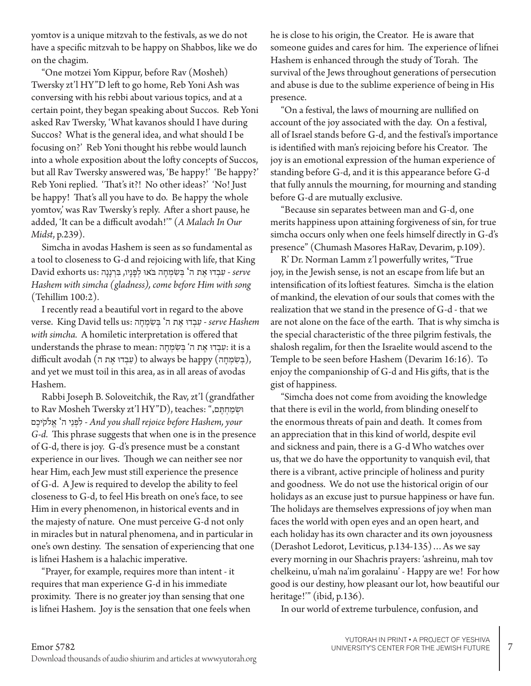yomtov is a unique mitzvah to the festivals, as we do not have a specific mitzvah to be happy on Shabbos, like we do on the chagim.

"One motzei Yom Kippur, before Rav (Mosheh) Twersky zt'l HY"D left to go home, Reb Yoni Ash was conversing with his rebbi about various topics, and at a certain point, they began speaking about Succos. Reb Yoni asked Rav Twersky, 'What kavanos should I have during Succos? What is the general idea, and what should I be focusing on?' Reb Yoni thought his rebbe would launch into a whole exposition about the lofty concepts of Succos, but all Rav Twersky answered was, 'Be happy!' 'Be happy?' Reb Yoni replied. 'That's it?! No other ideas?' 'No! Just be happy! That's all you have to do. Be happy the whole yomtov,' was Rav Twersky's reply. After a short pause, he added, 'It can be a difficult avodah!'" (*A Malach In Our Midst*, p.239).

Simcha in avodas Hashem is seen as so fundamental as a tool to closeness to G-d and rejoicing with life, that King **David exhorts us: יעִבְדוּ אֶת ה' בְּשִׂמְחָה בֹּאוּ לְפָנָיו, בִּרְנָנָה Serve** *Hashem with simcha (gladness), come before Him with song* (Tehillim 100:2).

I recently read a beautiful vort in regard to the above verse. King David tells us: בְּשְׂמְחָה serve Hashem *with simcha.* A homiletic interpretation is offered that understands the phrase to mean: עִבְדוּ אֶת ה' בְּשִׂמְחָה : it is a difficult avodah (שִׁבְדוּ אֶת ה) to always be happy (בִּשְׂמְחָה), and yet we must toil in this area, as in all areas of avodas Hashem.

Rabbi Joseph B. Soloveitchik, the Rav, zt'l (grandfather to Rav Mosheh Twersky zt'l HY"D), teaches: ",ם ֶתּ ְח ַמ ְשׂוּ י לִפְנֵי ה<sup>י</sup> אֱלֹקִיכֶם - And you shall rejoice before Hashem, your *G-d.* This phrase suggests that when one is in the presence of G-d, there is joy. G-d's presence must be a constant experience in our lives. Though we can neither see nor hear Him, each Jew must still experience the presence of G-d. A Jew is required to develop the ability to feel closeness to G-d, to feel His breath on one's face, to see Him in every phenomenon, in historical events and in the majesty of nature. One must perceive G-d not only in miracles but in natural phenomena, and in particular in one's own destiny. The sensation of experiencing that one is lifnei Hashem is a halachic imperative.

"Prayer, for example, requires more than intent - it requires that man experience G-d in his immediate proximity. There is no greater joy than sensing that one is lifnei Hashem. Joy is the sensation that one feels when he is close to his origin, the Creator. He is aware that someone guides and cares for him. The experience of lifnei Hashem is enhanced through the study of Torah. The survival of the Jews throughout generations of persecution and abuse is due to the sublime experience of being in His presence.

"On a festival, the laws of mourning are nullified on account of the joy associated with the day. On a festival, all of Israel stands before G-d, and the festival's importance is identified with man's rejoicing before his Creator. The joy is an emotional expression of the human experience of standing before G-d, and it is this appearance before G-d that fully annuls the mourning, for mourning and standing before G-d are mutually exclusive.

"Because sin separates between man and G-d, one merits happiness upon attaining forgiveness of sin, for true simcha occurs only when one feels himself directly in G-d's presence" (Chumash Masores HaRav, Devarim, p.109).

R' Dr. Norman Lamm z'l powerfully writes, "True joy, in the Jewish sense, is not an escape from life but an intensification of its loftiest features. Simcha is the elation of mankind, the elevation of our souls that comes with the realization that we stand in the presence of G-d - that we are not alone on the face of the earth. That is why simcha is the special characteristic of the three pilgrim festivals, the shalosh regalim, for then the Israelite would ascend to the Temple to be seen before Hashem (Devarim 16:16). To enjoy the companionship of G-d and His gifts, that is the gist of happiness.

"Simcha does not come from avoiding the knowledge that there is evil in the world, from blinding oneself to the enormous threats of pain and death. It comes from an appreciation that in this kind of world, despite evil and sickness and pain, there is a G-d Who watches over us, that we do have the opportunity to vanquish evil, that there is a vibrant, active principle of holiness and purity and goodness. We do not use the historical origin of our holidays as an excuse just to pursue happiness or have fun. The holidays are themselves expressions of joy when man faces the world with open eyes and an open heart, and each holiday has its own character and its own joyousness (Derashot Ledorot, Leviticus, p.134-135)…As we say every morning in our Shachris prayers: 'ashreinu, mah tov chelkeinu, u'mah na'im goralainu' - Happy are we! For how good is our destiny, how pleasant our lot, how beautiful our heritage!" (ibid, p.136).

In our world of extreme turbulence, confusion, and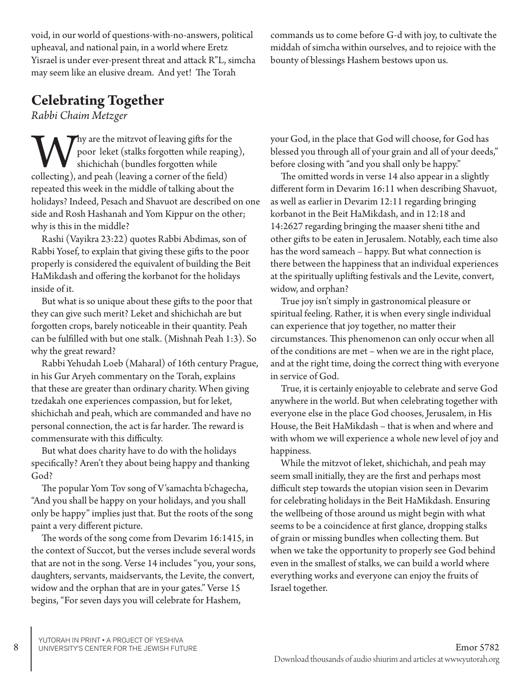YUTORAH IN PRINT • A PROJECT OF YESHIVA

void, in our world of questions-with-no-answers, political upheaval, and national pain, in a world where Eretz Yisrael is under ever-present threat and attack R"L, simcha may seem like an elusive dream. And yet! The Torah

# **Celebrating Together**

*Rabbi Chaim Metzger*

Why are the mitzvot of leaving gifts for the poor leket (stalks forgotten while reaping shichichah (bundles forgotten while collecting), and peah (leaving a corner of the field) poor leket (stalks forgotten while reaping), shichichah (bundles forgotten while collecting), and peah (leaving a corner of the field) repeated this week in the middle of talking about the holidays? Indeed, Pesach and Shavuot are described on one side and Rosh Hashanah and Yom Kippur on the other; why is this in the middle?

Rashi (Vayikra 23:22) quotes Rabbi Abdimas, son of Rabbi Yosef, to explain that giving these gifts to the poor properly is considered the equivalent of building the Beit HaMikdash and offering the korbanot for the holidays inside of it.

But what is so unique about these gifts to the poor that they can give such merit? Leket and shichichah are but forgotten crops, barely noticeable in their quantity. Peah can be fulfilled with but one stalk. (Mishnah Peah 1:3). So why the great reward?

Rabbi Yehudah Loeb (Maharal) of 16th century Prague, in his Gur Aryeh commentary on the Torah, explains that these are greater than ordinary charity. When giving tzedakah one experiences compassion, but for leket, shichichah and peah, which are commanded and have no personal connection, the act is far harder. The reward is commensurate with this difficulty.

But what does charity have to do with the holidays specifically? Aren't they about being happy and thanking God?

The popular Yom Tov song of V'samachta b'chagecha, "And you shall be happy on your holidays, and you shall only be happy" implies just that. But the roots of the song paint a very different picture.

The words of the song come from Devarim 16:1415, in the context of Succot, but the verses include several words that are not in the song. Verse 14 includes "you, your sons, daughters, servants, maidservants, the Levite, the convert, widow and the orphan that are in your gates." Verse 15 begins, "For seven days you will celebrate for Hashem,

your God, in the place that God will choose, for God has blessed you through all of your grain and all of your deeds," before closing with "and you shall only be happy."

commands us to come before G-d with joy, to cultivate the middah of simcha within ourselves, and to rejoice with the

bounty of blessings Hashem bestows upon us.

The omitted words in verse 14 also appear in a slightly different form in Devarim 16:11 when describing Shavuot, as well as earlier in Devarim 12:11 regarding bringing korbanot in the Beit HaMikdash, and in 12:18 and 14:2627 regarding bringing the maaser sheni tithe and other gifts to be eaten in Jerusalem. Notably, each time also has the word sameach – happy. But what connection is there between the happiness that an individual experiences at the spiritually uplifting festivals and the Levite, convert, widow, and orphan?

True joy isn't simply in gastronomical pleasure or spiritual feeling. Rather, it is when every single individual can experience that joy together, no matter their circumstances. This phenomenon can only occur when all of the conditions are met – when we are in the right place, and at the right time, doing the correct thing with everyone in service of God.

True, it is certainly enjoyable to celebrate and serve God anywhere in the world. But when celebrating together with everyone else in the place God chooses, Jerusalem, in His House, the Beit HaMikdash – that is when and where and with whom we will experience a whole new level of joy and happiness.

While the mitzvot of leket, shichichah, and peah may seem small initially, they are the first and perhaps most difficult step towards the utopian vision seen in Devarim for celebrating holidays in the Beit HaMikdash. Ensuring the wellbeing of those around us might begin with what seems to be a coincidence at first glance, dropping stalks of grain or missing bundles when collecting them. But when we take the opportunity to properly see God behind even in the smallest of stalks, we can build a world where everything works and everyone can enjoy the fruits of Israel together.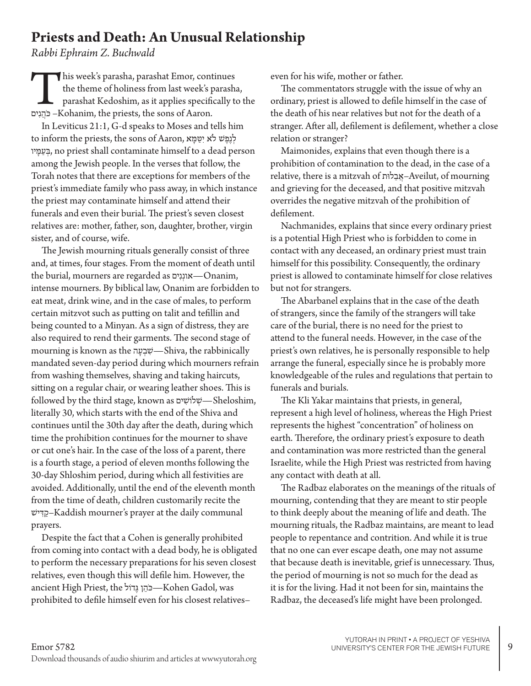#### **Priests and Death: An Unusual Relationship**

*Rabbi Ephraim Z. Buchwald*

This week's parasha, parashat Emor, continues ים ִנ ֲהֹכ– Kohanim, the priests, the sons of Aaron. the theme of holiness from last week's parasha, parashat Kedoshim, as it applies specifically to the

In Leviticus 21:1, G-d speaks to Moses and tells him לְנֶפֶשׁ לֹא יִטַּמַא, the sons of Aaron, לְנֵפֵשׁ לֹא יִטַּמַא יו ָמ ַע ְ ב, no priest shall contaminate himself to a dead person among the Jewish people. In the verses that follow, the Torah notes that there are exceptions for members of the priest's immediate family who pass away, in which instance the priest may contaminate himself and attend their funerals and even their burial. The priest's seven closest relatives are: mother, father, son, daughter, brother, virgin sister, and of course, wife.

The Jewish mourning rituals generally consist of three and, at times, four stages. From the moment of death until the burial, mourners are regarded as אוננִים—Onanim, intense mourners. By biblical law, Onanim are forbidden to eat meat, drink wine, and in the case of males, to perform certain mitzvot such as putting on talit and tefillin and being counted to a Minyan. As a sign of distress, they are also required to rend their garments. The second stage of mourning is known as the ה ָע ְב ִ ש—Shiva, the rabbinically mandated seven-day period during which mourners refrain from washing themselves, shaving and taking haircuts, sitting on a regular chair, or wearing leather shoes. This is followed by the third stage, known as ים ִ ושֹל ְ ש—Sheloshim, literally 30, which starts with the end of the Shiva and continues until the 30th day after the death, during which time the prohibition continues for the mourner to shave or cut one's hair. In the case of the loss of a parent, there is a fourth stage, a period of eleven months following the 30-day Shloshim period, during which all festivities are avoided. Additionally, until the end of the eleventh month from the time of death, children customarily recite the שׁי ִד ַק–Kaddish mourner's prayer at the daily communal prayers.

Despite the fact that a Cohen is generally prohibited from coming into contact with a dead body, he is obligated to perform the necessary preparations for his seven closest relatives, even though this will defile him. However, the ancient High Priest, the וֹדֵוֹל Kohen Gadol, was prohibited to defile himself even for his closest relatives–

even for his wife, mother or father.

The commentators struggle with the issue of why an ordinary, priest is allowed to defile himself in the case of the death of his near relatives but not for the death of a stranger. After all, defilement is defilement, whether a close relation or stranger?

Maimonides, explains that even though there is a prohibition of contamination to the dead, in the case of a relative, there is a mitzvah of ותּל ֵב ֲא–Aveilut, of mourning and grieving for the deceased, and that positive mitzvah overrides the negative mitzvah of the prohibition of defilement.

Nachmanides, explains that since every ordinary priest is a potential High Priest who is forbidden to come in contact with any deceased, an ordinary priest must train himself for this possibility. Consequently, the ordinary priest is allowed to contaminate himself for close relatives but not for strangers.

The Abarbanel explains that in the case of the death of strangers, since the family of the strangers will take care of the burial, there is no need for the priest to attend to the funeral needs. However, in the case of the priest's own relatives, he is personally responsible to help arrange the funeral, especially since he is probably more knowledgeable of the rules and regulations that pertain to funerals and burials.

The Kli Yakar maintains that priests, in general, represent a high level of holiness, whereas the High Priest represents the highest "concentration" of holiness on earth. Therefore, the ordinary priest's exposure to death and contamination was more restricted than the general Israelite, while the High Priest was restricted from having any contact with death at all.

The Radbaz elaborates on the meanings of the rituals of mourning, contending that they are meant to stir people to think deeply about the meaning of life and death. The mourning rituals, the Radbaz maintains, are meant to lead people to repentance and contrition. And while it is true that no one can ever escape death, one may not assume that because death is inevitable, grief is unnecessary. Thus, the period of mourning is not so much for the dead as it is for the living. Had it not been for sin, maintains the Radbaz, the deceased's life might have been prolonged.